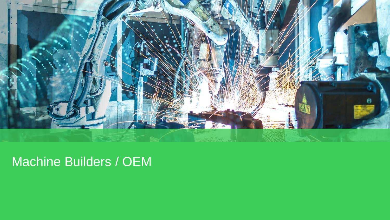

# Machine Builders / OEM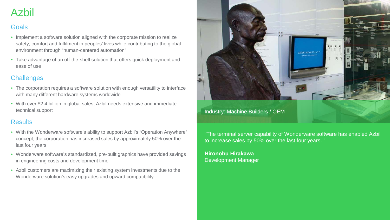# Azbil

# **Goals**

- Implement a software solution aligned with the corporate mission to realize safety, comfort and fulfilment in peoples' lives while contributing to the global environment through "human-centered automation"
- Take advantage of an off-the-shelf solution that offers quick deployment and ease of use

### **Challenges**

- The corporation requires a software solution with enough versatility to interface with many different hardware systems worldwide
- With over \$2.4 billion in global sales, Azbil needs extensive and immediate technical support

### **Results**

- With the Wonderware software's ability to support Azbil's "Operation Anywhere" concept, the corporation has increased sales by approximately 50% over the last four years
- Wonderware software's standardized, pre-built graphics have provided savings in engineering costs and development time
- Azbil customers are maximizing their existing system investments due to the Wonderware solution's easy upgrades and upward compatibility



"The terminal server capability of Wonderware software has enabled Azbil to increase sales by 50% over the last four years. "

**Hironobu Hirakawa** Development Manager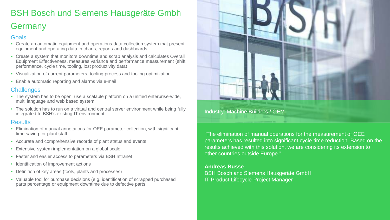# BSH Bosch und Siemens Hausgeräte Gmbh Germany

#### **Goals**

- Create an automatic equipment and operations data collection system that present equipment and operating data in charts, reports and dashboards
- Create a system that monitors downtime and scrap analysis and calculates Overall Equipment Effectiveness, measures variance and performance measurement (shift performance, cycle time, tooling, lost productivity data)
- Visualization of current parameters, tooling process and tooling optimization
- Enable automatic reporting and alarms via e-mail

#### **Challenges**

- The system has to be open, use a scalable platform on a unified enterprise-wide, multi language and web based system
- The solution has to run on a virtual and central server environment while being fully integrated to BSH's existing IT environment

#### **Results**

- Elimination of manual annotations for OEE parameter collection, with significant time saving for plant staff
- Accurate and comprehensive records of plant status and events
- Extensive system implementation on a global scale
- Faster and easier access to parameters via BSH Intranet
- Identification of improvement actions
- Definition of key areas (tools, plants and processes)
- Valuable tool for purchase decisions (e.g. identification of scrapped purchased parts percentage or equipment downtime due to defective parts



Industry: Machine Builders / OEM

"The elimination of manual operations for the measurement of OEE parameters has resulted into significant cycle time reduction. Based on the results achieved with this solution, we are considering its extension to other countries outside Europe."

#### **Andreas Busse**

BSH Bosch and Siemens Hausgeräte GmbH IT Product Lifecycle Project Manager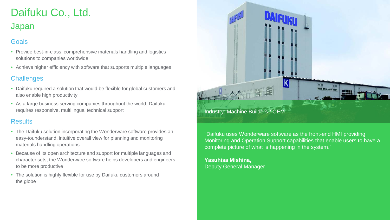# Daifuku Co., Ltd. Japan

## **Goals**

- Provide best-in-class, comprehensive materials handling and logistics solutions to companies worldwide
- Achieve higher efficiency with software that supports multiple languages

### **Challenges**

- Daifuku required a solution that would be flexible for global customers and also enable high productivity
- As a large business serving companies throughout the world, Daifuku requires responsive, multilingual technical support

### **Results**

- The Daifuku solution incorporating the Wonderware software provides an easy-tounderstand, intuitive overall view for planning and monitoring materials handling operations
- Because of its open architecture and support for multiple languages and character sets, the Wonderware software helps developers and engineers to be more productive
- The solution is highly flexible for use by Daifuku customers around the globe



"Daifuku uses Wonderware software as the front-end HMI providing Monitoring and Operation Support capabilities that enable users to have a complete picture of what is happening in the system."

**Yasuhisa Mishina,** Deputy General Manager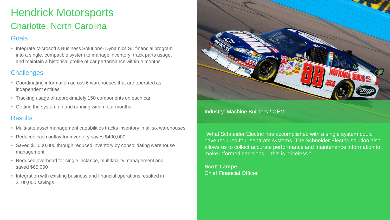# Hendrick Motorsports Charlotte, North Carolina

### **Goals**

• Integrate Microsoft's Business Solutions- Dynamics SL financial program into a single, compatible system to manage inventory, track parts usage, and maintain a historical profile of car performance within 4 months

### **Challenges**

- Coordinating information across 6 warehouses that are operated as independent entities
- Tracking usage of approximately 150 components on each car
- Getting the system up and running within four months

### **Results**

- Multi-site asset management capabilities tracks inventory in all six warehouses
- Reduced cash outlay for inventory saves \$400,000
- Saved \$1,000,000 through reduced inventory by consolidating warehouse management
- Reduced overhead for single instance, multifacility management and saved \$65,000
- Integration with existing business and financial operations resulted in \$100,000 savings



#### Industry: Machine Builders / OEM

"What Schneider Electric has accomplished with a single system could have required four separate systems. The Schneider Electric solution also allows us to collect accurate performance and maintenance information to make informed decisions… this is priceless."

**Scott Lampe,**  Chief Financial Officer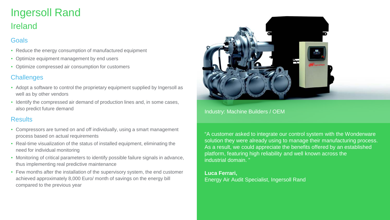# Ingersoll Rand Ireland

# **Goals**

- Reduce the energy consumption of manufactured equipment
- Optimize equipment management by end users
- Optimize compressed air consumption for customers

# **Challenges**

- Adopt a software to control the proprietary equipment supplied by Ingersoll as well as by other vendors
- Identify the compressed air demand of production lines and, in some cases, also predict future demand

### **Results**

- Compressors are turned on and off individually, using a smart management process based on actual requirements
- Real-time visualization of the status of installed equipment, eliminating the need for individual monitoring
- Monitoring of critical parameters to identify possible failure signals in advance, thus implementing real predictive maintenance
- Few months after the installation of the supervisory system, the end customer achieved approximately 8,000 Euro/ month of savings on the energy bill compared to the previous year



Industry: Machine Builders / OEM

"A customer asked to integrate our control system with the Wonderware solution they were already using to manage their manufacturing process. As a result, we could appreciate the benefits offered by an established platform, featuring high reliability and well known across the industrial domain.

#### **Luca Ferrari,**

Energy Air Audit Specialist, Ingersoll Rand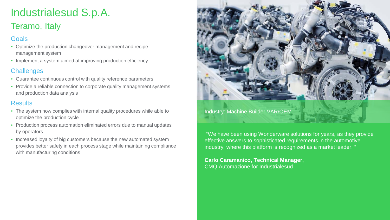# Industrialesud S.p.A.

# Teramo, Italy

### **Goals**

- Optimize the production changeover management and recipe management system
- Implement a system aimed at improving production efficiency

### **Challenges**

- Guarantee continuous control with quality reference parameters
- Provide a reliable connection to corporate quality management systems and production data analysis

### **Results**

- The system now complies with internal quality procedures while able to optimize the production cycle
- Production process automation eliminated errors due to manual updates by operators
- Increased loyalty of big customers because the new automated system provides better safety in each process stage while maintaining compliance with manufacturing conditions



Industry: Machine Builder VAR/OEM

"We have been using Wonderware solutions for years, as they provide effective answers to sophisticated requirements in the automotive industry, where this platform is recognized as a market leader. "

**Carlo Caramanico, Technical Manager,**  CMQ Automazione for Industrialesud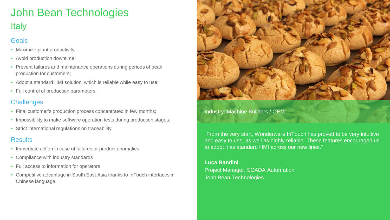# John Bean Technologies **Italy**

# **Goals**

- Maximize plant productivity;
- Avoid production downtime;
- Prevent failures and maintenance operations during periods of peak production for customers;
- Adopt a standard HMI solution, which is reliable while easy to use;
- Full control of production parameters.

### **Challenges**

- Final customer's production process concentrated in few months;
- Impossibility to make software operation tests during production stages;
- Strict international regulations on traceability

### **Results**

- Immediate action in case of failures or product anomalies
- Compliance with industry standards
- Full access to information for operators
- Competitive advantage in South East Asia thanks to InTouch interfaces in Chinese language.



#### Industry: Machine Builders / OEM

"From the very start, Wonderware InTouch has proved to be very intuitive and easy to use, as well as highly reliable. These features encouraged us to adopt it as standard HMI across our new lines."

**Luca Bandini** Project Manager, SCADA Automation John Bean Technologies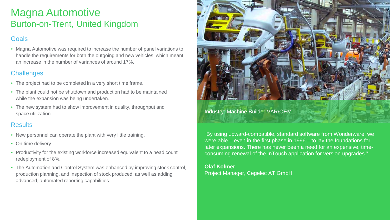# Magna Automotive Burton-on-Trent, United Kingdom

## **Goals**

• Magna Automotive was required to increase the number of panel variations to handle the requirements for both the outgoing and new vehicles, which meant an increase in the number of variances of around 17%.

### **Challenges**

- The project had to be completed in a very short time frame.
- The plant could not be shutdown and production had to be maintained while the expansion was being undertaken.
- The new system had to show improvement in quality, throughput and space utilization.

### Results

- New personnel can operate the plant with very little training.
- On time delivery.
- Productivity for the existing workforce increased equivalent to a head count redeployment of 8%.
- The Automation and Control System was enhanced by improving stock control, production planning, and inspection of stock produced, as well as adding advanced, automated reporting capabilities.



#### Industry: Machine Builder VAR/OEM

"By using upward-compatible, standard software from Wonderware, we were able – even in the first phase in 1996 – to lay the foundations for later expansions. There has never been a need for an expensive, timeconsuming renewal of the InTouch application for version upgrades."

**Olaf Kolmer**  Project Manager, Cegelec AT GmbH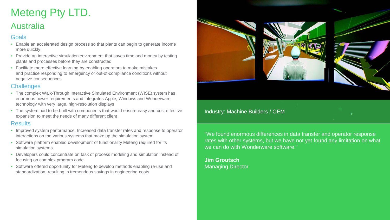# Meteng Pty LTD. Australia

#### **Goals**

- Enable an accelerated design process so that plants can begin to generate income more quickly
- Provide an interactive simulation environment that saves time and money by testing plants and processes before they are constructed
- Facilitate more effective learning by enabling operators to make mistakes and practice responding to emergency or out-of-compliance conditions without negative consequences

### **Challenges**

- The complex Walk-Through Interactive Simulated Environment (WISE) system has enormous power requirements and integrates Apple, Windows and Wonderware technology with very large, high-resolution displays
- The system had to be built with components that would ensure easy and cost effective expansion to meet the needs of many different client

#### Results

- Improved system performance. Increased data transfer rates and response to operator interactions on the various systems that make up the simulation system
- Software platform enabled development of functionality Meteng required for its simulation systems
- Developers could concentrate on task of process modeling and simulation instead of focusing on complex program code
- Software offered opportunity for Meteng to develop methods enabling re-use and standardization, resulting in tremendous savings in engineering costs



#### Industry: Machine Builders / OEM

"We found enormous differences in data transfer and operator response rates with other systems, but we have not yet found any limitation on what we can do with Wonderware software."

**Jim Groutsch** Managing Director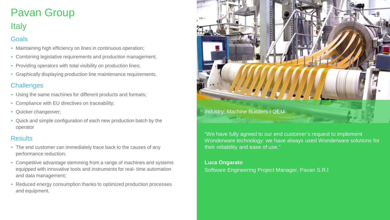# Pavan Group

# **Italy**

### **Goals**

- Maintaining high efficiency on lines in continuous operation;
- Combining legislative requirements and production management;
- Providing operators with total visibility on production lines;
- Graphically displaying production line maintenance requirements.

## **Challenges**

- Using the same machines for different products and formats;
- Compliance with EU directives on traceability;
- Quicker changeover;
- Quick and simple configuration of each new production batch by the operator

### **Results**

- The end customer can immediately trace back to the causes of any performance reduction;
- Competitive advantage stemming from a range of machines and systems equipped with innovative tools and instruments for real- time automation and data management;
- Reduced energy consumption thanks to optimized production processes and equipment.



"We have fully agreed to our end customer's request to implement Wonderware technology: we have always used Wonderware solutions for their reliability and ease of use."

### **Luca Ongarato**

Software Engineering Project Manager, Pavan S.R.l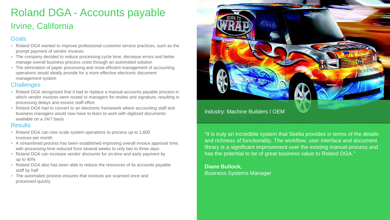# Roland DGA - Accounts payable Irvine, California

### Goals

- Roland DGA wanted to improve professional customer service practices, such as the prompt payment of vendor invoices
- The company decided to reduce processing cycle time, decrease errors and better manage overall business process costs through an automated solution
- The elimination of paper processing and more efficient management of accounting operations would ideally provide for a more effective electronic document management system

#### **Challenges**

- Roland DGA recognized that it had to replace a manual accounts payable process in which vendor invoices were routed to managers for review and signature, resulting in processing delays and excess staff effort
- Roland DGA had to convert to an electronic framework where accounting staff and business managers would now have to learn to work with digitized documents available on a 24/7 basis

#### **Results**

- Roland DGA can now scale system operations to process up to 1,600 invoices per month
- A streamlined process has been established improving overall invoice approval time, with processing time reduced from several weeks to only two to three days
- Roland DGA can increase vendor discounts for on-time and early payment by up to 40%
- Roland DGA also has been able to reduce the resources of its accounts payable staff by half
- The automated process ensures that invoices are scanned once and processed quickly



"It is truly an incredible system that Skelta provides in terms of the details and richness of functionality. The workflow, user interface and document library is a significant improvement over the existing manual process and has the potential to be of great business value to Roland DGA."

**Diane Bullock,**  Business Systems Manager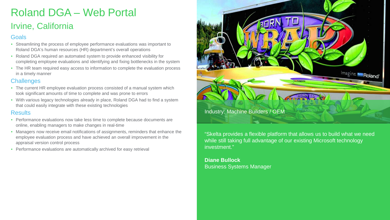# Roland DGA – Web Portal

# Irvine, California

### **Goals**

- Streamlining the process of employee performance evaluations was important to Roland DGA's human resources (HR) department's overall operations
- Roland DGA required an automated system to provide enhanced visibility for completing employee evaluations and identifying and fixing bottlenecks in the system
- The HR team required easy access to information to complete the evaluation process in a timely manner

### **Challenges**

- The current HR employee evaluation process consisted of a manual system which took significant amounts of time to complete and was prone to errors
- With various legacy technologies already in place, Roland DGA had to find a system that could easily integrate with these existing technologies

### **Results**

- Performance evaluations now take less time to complete because documents are online, enabling managers to make changes in real-time
- Managers now receive email notifications of assignments, reminders that enhance the employee evaluation process and have achieved an overall improvement in the appraisal version control process
- Performance evaluations are automatically archived for easy retrieval



"Skelta provides a flexible platform that allows us to build what we need while still taking full advantage of our existing Microsoft technology investment."

**Diane Bullock** Business Systems Manager